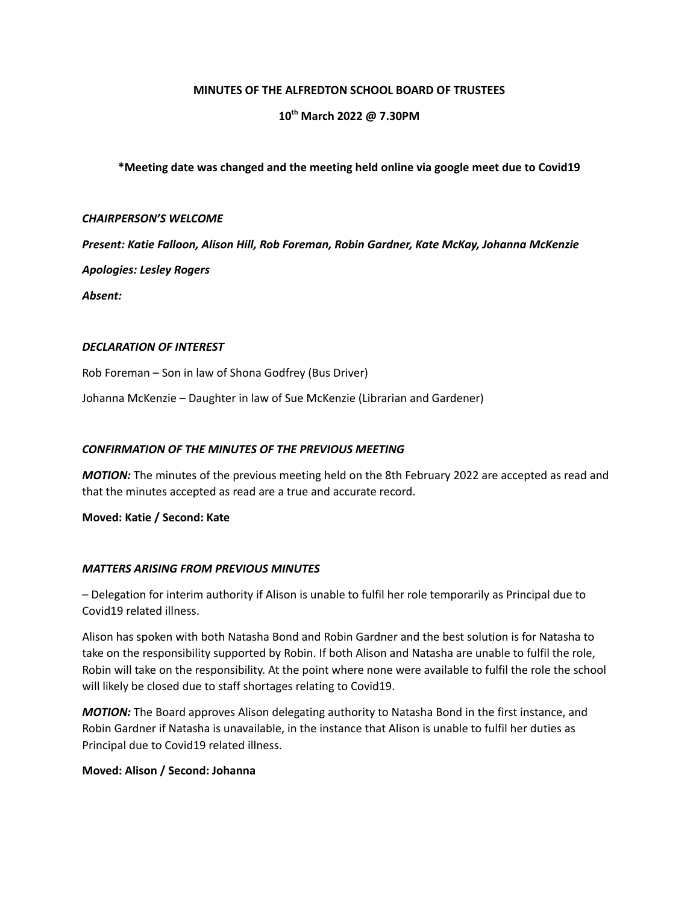### **MINUTES OF THE ALFREDTON SCHOOL BOARD OF TRUSTEES**

# **10 th March 2022 @ 7.30PM**

### **\*Meeting date was changed and the meeting held online via google meet due to Covid19**

#### *CHAIRPERSON'S WELCOME*

*Present: Katie Falloon, Alison Hill, Rob Foreman, Robin Gardner, Kate McKay, Johanna McKenzie Apologies: Lesley Rogers*

*Absent:*

### *DECLARATION OF INTEREST*

Rob Foreman – Son in law of Shona Godfrey (Bus Driver)

Johanna McKenzie – Daughter in law of Sue McKenzie (Librarian and Gardener)

### *CONFIRMATION OF THE MINUTES OF THE PREVIOUS MEETING*

*MOTION:* The minutes of the previous meeting held on the 8th February 2022 are accepted as read and that the minutes accepted as read are a true and accurate record.

**Moved: Katie / Second: Kate**

### *MATTERS ARISING FROM PREVIOUS MINUTES*

– Delegation for interim authority if Alison is unable to fulfil her role temporarily as Principal due to Covid19 related illness.

Alison has spoken with both Natasha Bond and Robin Gardner and the best solution is for Natasha to take on the responsibility supported by Robin. If both Alison and Natasha are unable to fulfil the role, Robin will take on the responsibility. At the point where none were available to fulfil the role the school will likely be closed due to staff shortages relating to Covid19.

*MOTION:* The Board approves Alison delegating authority to Natasha Bond in the first instance, and Robin Gardner if Natasha is unavailable, in the instance that Alison is unable to fulfil her duties as Principal due to Covid19 related illness.

### **Moved: Alison / Second: Johanna**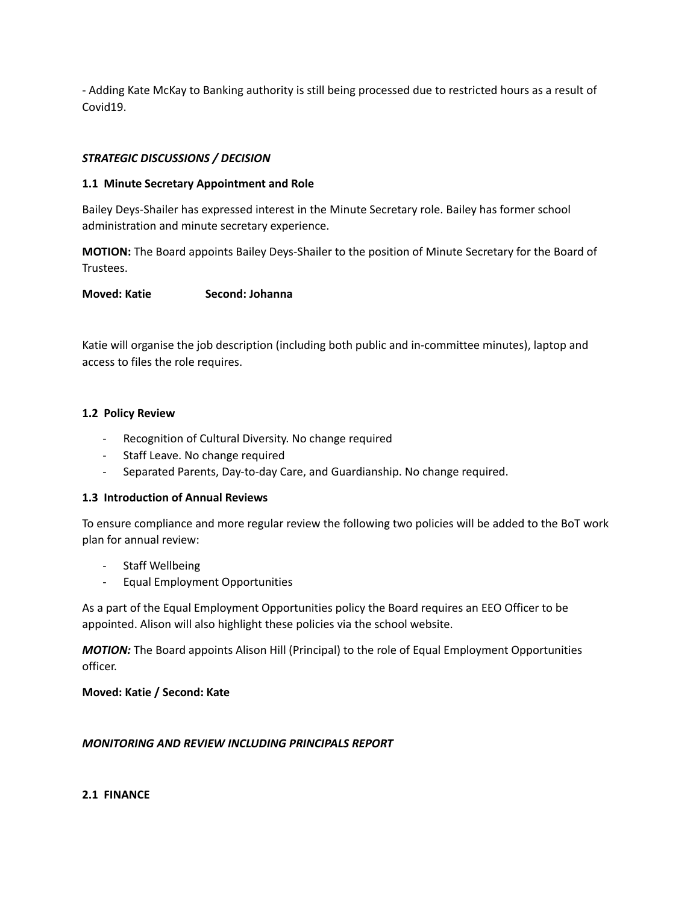- Adding Kate McKay to Banking authority is still being processed due to restricted hours as a result of Covid19.

# *STRATEGIC DISCUSSIONS / DECISION*

## **1.1 Minute Secretary Appointment and Role**

Bailey Deys-Shailer has expressed interest in the Minute Secretary role. Bailey has former school administration and minute secretary experience.

**MOTION:** The Board appoints Bailey Deys-Shailer to the position of Minute Secretary for the Board of Trustees.

### **Moved: Katie Second: Johanna**

Katie will organise the job description (including both public and in-committee minutes), laptop and access to files the role requires.

### **1.2 Policy Review**

- Recognition of Cultural Diversity. No change required
- Staff Leave. No change required
- Separated Parents, Day-to-day Care, and Guardianship. No change required.

## **1.3 Introduction of Annual Reviews**

To ensure compliance and more regular review the following two policies will be added to the BoT work plan for annual review:

- Staff Wellbeing
- Equal Employment Opportunities

As a part of the Equal Employment Opportunities policy the Board requires an EEO Officer to be appointed. Alison will also highlight these policies via the school website.

*MOTION:* The Board appoints Alison Hill (Principal) to the role of Equal Employment Opportunities officer.

**Moved: Katie / Second: Kate**

## *MONITORING AND REVIEW INCLUDING PRINCIPALS REPORT*

**2.1 FINANCE**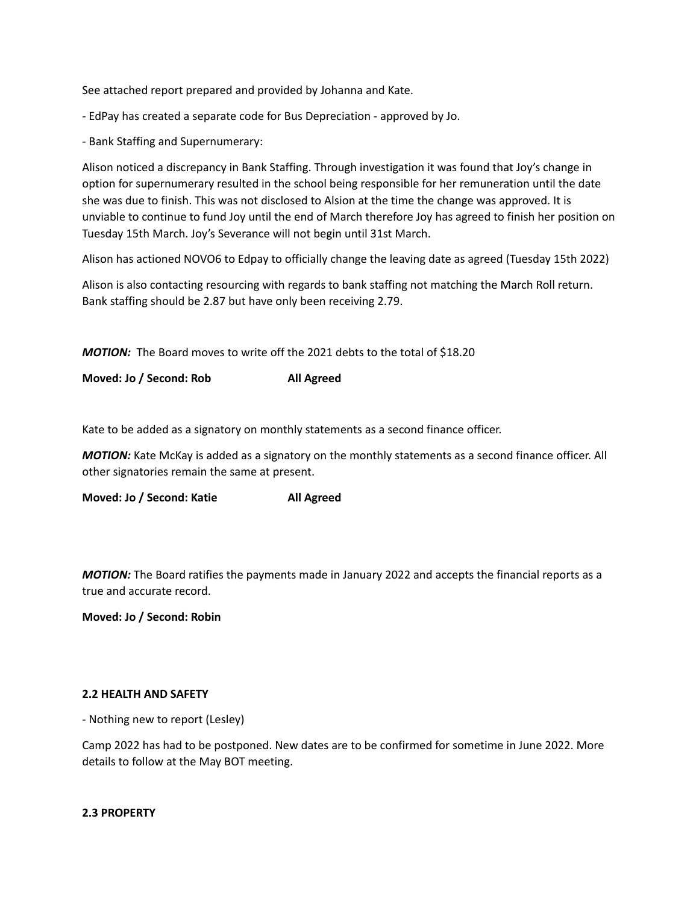See attached report prepared and provided by Johanna and Kate.

- EdPay has created a separate code for Bus Depreciation - approved by Jo.

- Bank Staffing and Supernumerary:

Alison noticed a discrepancy in Bank Staffing. Through investigation it was found that Joy's change in option for supernumerary resulted in the school being responsible for her remuneration until the date she was due to finish. This was not disclosed to Alsion at the time the change was approved. It is unviable to continue to fund Joy until the end of March therefore Joy has agreed to finish her position on Tuesday 15th March. Joy's Severance will not begin until 31st March.

Alison has actioned NOVO6 to Edpay to officially change the leaving date as agreed (Tuesday 15th 2022)

Alison is also contacting resourcing with regards to bank staffing not matching the March Roll return. Bank staffing should be 2.87 but have only been receiving 2.79.

*MOTION:* The Board moves to write off the 2021 debts to the total of \$18.20

**Moved: Jo / Second: Rob All Agreed**

Kate to be added as a signatory on monthly statements as a second finance officer.

*MOTION:* Kate McKay is added as a signatory on the monthly statements as a second finance officer. All other signatories remain the same at present.

**Moved: Jo / Second: Katie All Agreed**

*MOTION:* The Board ratifies the payments made in January 2022 and accepts the financial reports as a true and accurate record.

**Moved: Jo / Second: Robin**

## **2.2 HEALTH AND SAFETY**

- Nothing new to report (Lesley)

Camp 2022 has had to be postponed. New dates are to be confirmed for sometime in June 2022. More details to follow at the May BOT meeting.

### **2.3 PROPERTY**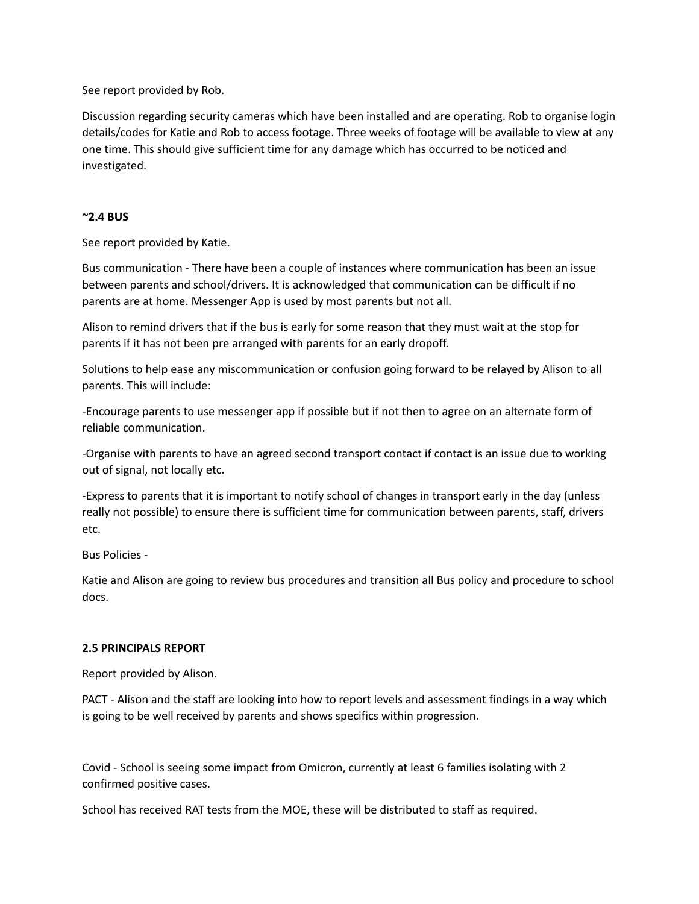See report provided by Rob.

Discussion regarding security cameras which have been installed and are operating. Rob to organise login details/codes for Katie and Rob to access footage. Three weeks of footage will be available to view at any one time. This should give sufficient time for any damage which has occurred to be noticed and investigated.

## **~2.4 BUS**

See report provided by Katie.

Bus communication - There have been a couple of instances where communication has been an issue between parents and school/drivers. It is acknowledged that communication can be difficult if no parents are at home. Messenger App is used by most parents but not all.

Alison to remind drivers that if the bus is early for some reason that they must wait at the stop for parents if it has not been pre arranged with parents for an early dropoff.

Solutions to help ease any miscommunication or confusion going forward to be relayed by Alison to all parents. This will include:

-Encourage parents to use messenger app if possible but if not then to agree on an alternate form of reliable communication.

-Organise with parents to have an agreed second transport contact if contact is an issue due to working out of signal, not locally etc.

-Express to parents that it is important to notify school of changes in transport early in the day (unless really not possible) to ensure there is sufficient time for communication between parents, staff, drivers etc.

Bus Policies -

Katie and Alison are going to review bus procedures and transition all Bus policy and procedure to school docs.

### **2.5 PRINCIPALS REPORT**

Report provided by Alison.

PACT - Alison and the staff are looking into how to report levels and assessment findings in a way which is going to be well received by parents and shows specifics within progression.

Covid - School is seeing some impact from Omicron, currently at least 6 families isolating with 2 confirmed positive cases.

School has received RAT tests from the MOE, these will be distributed to staff as required.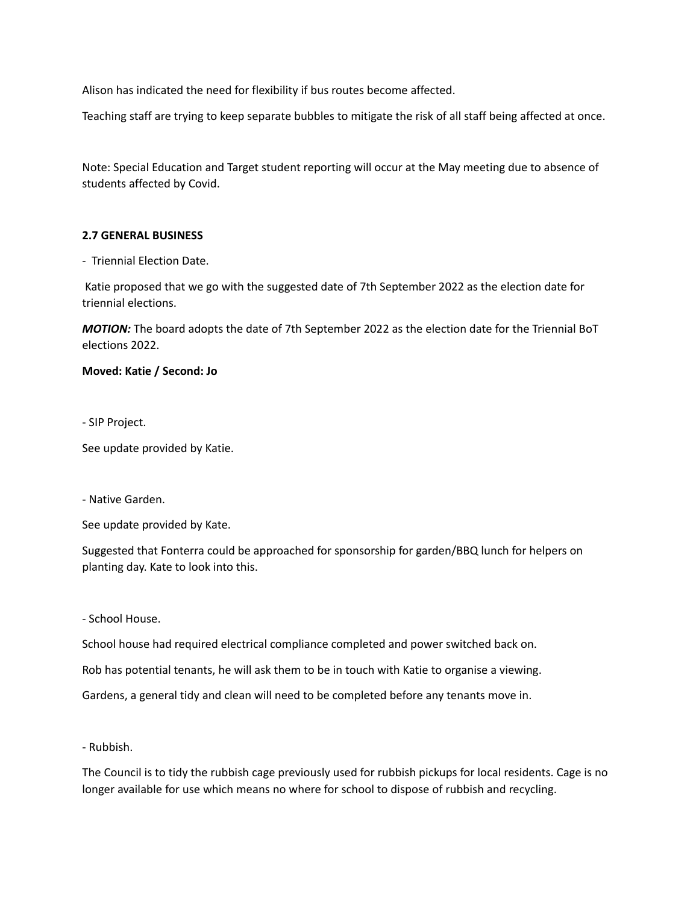Alison has indicated the need for flexibility if bus routes become affected.

Teaching staff are trying to keep separate bubbles to mitigate the risk of all staff being affected at once.

Note: Special Education and Target student reporting will occur at the May meeting due to absence of students affected by Covid.

## **2.7 GENERAL BUSINESS**

- Triennial Election Date.

Katie proposed that we go with the suggested date of 7th September 2022 as the election date for triennial elections.

*MOTION:* The board adopts the date of 7th September 2022 as the election date for the Triennial BoT elections 2022.

### **Moved: Katie / Second: Jo**

- SIP Project.

See update provided by Katie.

- Native Garden.

See update provided by Kate.

Suggested that Fonterra could be approached for sponsorship for garden/BBQ lunch for helpers on planting day. Kate to look into this.

- School House.

School house had required electrical compliance completed and power switched back on.

Rob has potential tenants, he will ask them to be in touch with Katie to organise a viewing.

Gardens, a general tidy and clean will need to be completed before any tenants move in.

- Rubbish.

The Council is to tidy the rubbish cage previously used for rubbish pickups for local residents. Cage is no longer available for use which means no where for school to dispose of rubbish and recycling.